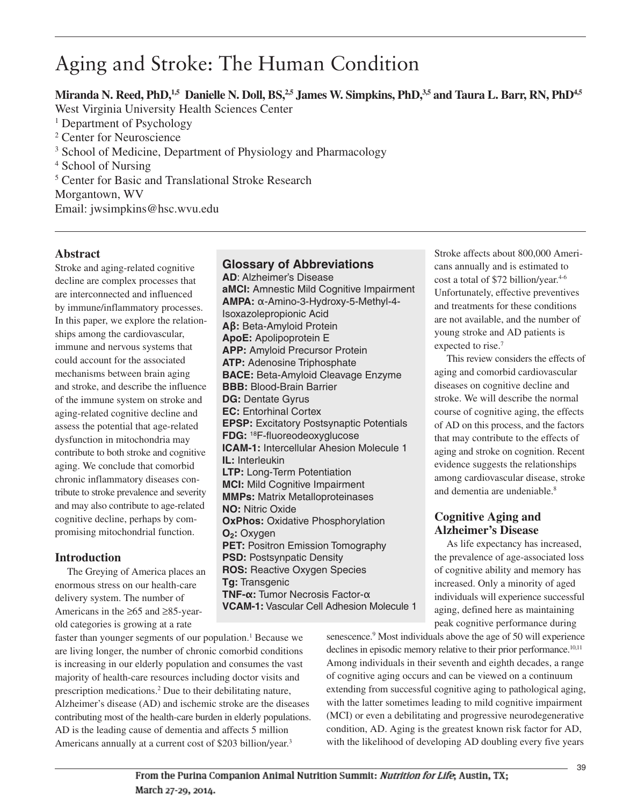# Aging and Stroke: The Human Condition

Miranda N. Reed, PhD,<sup>1,5</sup> Danielle N. Doll, BS,<sup>2,5</sup> James W. Simpkins, PhD,<sup>3,5</sup> and Taura L. Barr, RN, PhD<sup>4,5</sup> West Virginia University Health Sciences Center <sup>1</sup> Department of Psychology <sup>2</sup> Center for Neuroscience <sup>3</sup> School of Medicine, Department of Physiology and Pharmacology <sup>4</sup> School of Nursing <sup>5</sup> Center for Basic and Translational Stroke Research Morgantown, WV Email: jwsimpkins@hsc.wvu.edu

## **Abstract**

Stroke and aging-related cognitive decline are complex processes that are interconnected and influenced by immune/inflammatory processes. In this paper, we explore the relationships among the cardiovascular, immune and nervous systems that could account for the associated mechanisms between brain aging and stroke, and describe the influence of the immune system on stroke and aging-related cognitive decline and assess the potential that age-related dysfunction in mitochondria may contribute to both stroke and cognitive aging. We conclude that comorbid chronic inflammatory diseases contribute to stroke prevalence and severity and may also contribute to age-related cognitive decline, perhaps by compromising mitochondrial function.

# **Introduction**

The Greying of America places an enormous stress on our health-care delivery system. The number of Americans in the ≥65 and ≥85-yearold categories is growing at a rate

**Glossary of Abbreviations**

**AD**: Alzheimer's Disease **aMCI:** Amnestic Mild Cognitive Impairment **AMPA:** α-Amino-3-Hydroxy-5-Methyl-4- Isoxazolepropionic Acid **Aβ:** Beta-Amyloid Protein **ApoE:** Apolipoprotein E **APP:** Amyloid Precursor Protein **ATP:** Adenosine Triphosphate **BACE:** Beta-Amyloid Cleavage Enzyme **BBB:** Blood-Brain Barrier **DG:** Dentate Gyrus **EC:** Entorhinal Cortex **EPSP:** Excitatory Postsynaptic Potentials **FDG:** 18F-fluoreodeoxyglucose **ICAM-1:** Intercellular Ahesion Molecule 1 **IL:** Interleukin **LTP:** Long-Term Potentiation **MCI:** Mild Cognitive Impairment **MMPs:** Matrix Metalloproteinases **NO:** Nitric Oxide **OxPhos:** Oxidative Phosphorylation **O<sub>2</sub>: Oxygen PET: Positron Emission Tomography PSD: Postsynpatic Density ROS:** Reactive Oxygen Species **Tg:** Transgenic **TNF-α:** Tumor Necrosis Factor-α **VCAM-1:** Vascular Cell Adhesion Molecule 1 Stroke affects about 800,000 Americans annually and is estimated to cost a total of \$72 billion/year. 4-6 Unfortunately, effective preventives and treatments for these conditions are not available, and the number of young stroke and AD patients is expected to rise. 7

This review considers the effects of aging and comorbid cardiovascular diseases on cognitive decline and stroke. We will describe the normal course of cognitive aging, the effects of AD on this process, and the factors that may contribute to the effects of aging and stroke on cognition. Recent evidence suggests the relationships among cardiovascular disease, stroke and dementia are undeniable. 8

# **Cognitive Aging and Alzheimer's Disease**

As life expectancy has increased, the prevalence of age-associated loss of cognitive ability and memory has increased. Only a minority of aged individuals will experience successful aging, defined here as maintaining peak cognitive performance during

faster than younger segments of our population. <sup>1</sup> Because we are living longer, the number of chronic comorbid conditions is increasing in our elderly population and consumes the vast majority of health-care resources including doctor visits and prescription medications. <sup>2</sup> Due to their debilitating nature, Alzheimer's disease (AD) and ischemic stroke are the diseases contributing most of the health-care burden in elderly populations. AD is the leading cause of dementia and affects 5 million Americans annually at a current cost of \$203 billion/year. 3

senescence. <sup>9</sup> Most individuals above the age of 50 will experience declines in episodic memory relative to their prior performance.<sup>10,11</sup> Among individuals in their seventh and eighth decades, a range of cognitive aging occurs and can be viewed on a continuum extending from successful cognitive aging to pathological aging, with the latter sometimes leading to mild cognitive impairment (MCI) or even a debilitating and progressive neurodegenerative condition, AD. Aging is the greatest known risk factor for AD, with the likelihood of developing AD doubling every five years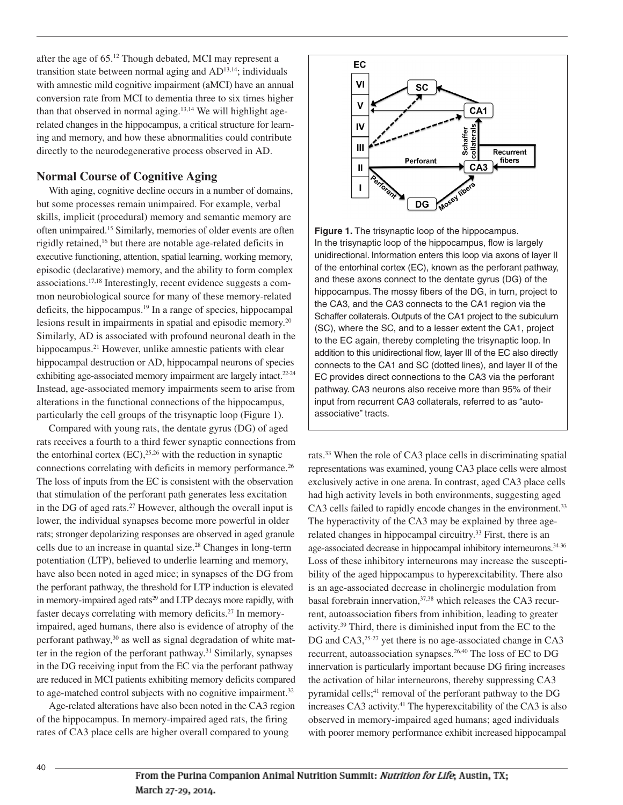after the age of 65. <sup>12</sup> Though debated, MCI may represent a transition state between normal aging and AD<sup>13,14</sup>; individuals with amnestic mild cognitive impairment (aMCI) have an annual conversion rate from MCI to dementia three to six times higher than that observed in normal aging. 13,14 We will highlight agerelated changes in the hippocampus, a critical structure for learning and memory, and how these abnormalities could contribute directly to the neurodegenerative process observed in AD.

## **Normal Course of Cognitive Aging**

With aging, cognitive decline occurs in a number of domains, but some processes remain unimpaired. For example, verbal skills, implicit (procedural) memory and semantic memory are often unimpaired. <sup>15</sup> Similarly, memories of older events are often rigidly retained, <sup>16</sup> but there are notable age-related deficits in executive functioning, attention, spatial learning, working memory, episodic (declarative) memory, and the ability to form complex associations. 17,18 Interestingly, recent evidence suggests a common neurobiological source for many of these memory-related deficits, the hippocampus. <sup>19</sup> In a range of species, hippocampal lesions result in impairments in spatial and episodic memory. 20 Similarly, AD is associated with profound neuronal death in the hippocampus.<sup>21</sup> However, unlike amnestic patients with clear hippocampal destruction or AD, hippocampal neurons of species exhibiting age-associated memory impairment are largely intact.<sup>22-24</sup> Instead, age-associated memory impairments seem to arise from alterations in the functional connections of the hippocampus, particularly the cell groups of the trisynaptic loop (Figure 1).

Compared with young rats, the dentate gyrus (DG) of aged rats receives a fourth to a third fewer synaptic connections from the entorhinal cortex  $(EC)$ ,<sup>25,26</sup> with the reduction in synaptic connections correlating with deficits in memory performance. 26 The loss of inputs from the EC is consistent with the observation that stimulation of the perforant path generates less excitation in the DG of aged rats. <sup>27</sup> However, although the overall input is lower, the individual synapses become more powerful in older rats; stronger depolarizing responses are observed in aged granule cells due to an increase in quantal size. <sup>28</sup> Changes in long-term potentiation (LTP), believed to underlie learning and memory, have also been noted in aged mice; in synapses of the DG from the perforant pathway, the threshold for LTP induction is elevated in memory-impaired aged rats<sup>29</sup> and LTP decays more rapidly, with faster decays correlating with memory deficits. <sup>27</sup> In memoryimpaired, aged humans, there also is evidence of atrophy of the perforant pathway, <sup>30</sup> as well as signal degradation of white matter in the region of the perforant pathway. <sup>31</sup> Similarly, synapses in the DG receiving input from the EC via the perforant pathway are reduced in MCI patients exhibiting memory deficits compared to age-matched control subjects with no cognitive impairment.<sup>32</sup>

Age-related alterations have also been noted in the CA3 region of the hippocampus. In memory-impaired aged rats, the firing rates of CA3 place cells are higher overall compared to young



**Figure 1.** The trisynaptic loop of the hippocampus. In the trisynaptic loop of the hippocampus, flow is largely unidirectional. Information enters this loop via axons of layer II of the entorhinal cortex (EC), known as the perforant pathway, and these axons connect to the dentate gyrus (DG) of the hippocampus. The mossy fibers of the DG, in turn, project to the CA3, and the CA3 connects to the CA1 region via the Schaffer collaterals. Outputs of the CA1 project to the subiculum (SC), where the SC, and to a lesser extent the CA1, project to the EC again, thereby completing the trisynaptic loop. In addition to this unidirectional flow, layer III of the EC also directly connects to the CA1 and SC (dotted lines), and layer II of the EC provides direct connections to the CA3 via the perforant pathway. CA3 neurons also receive more than 95% of their input from recurrent CA3 collaterals, referred to as "autoassociative" tracts.

rats.<sup>33</sup> When the role of CA3 place cells in discriminating spatial representations was examined, young CA3 place cells were almost exclusively active in one arena. In contrast, aged CA3 place cells had high activity levels in both environments, suggesting aged CA3 cells failed to rapidly encode changes in the environment. 33 The hyperactivity of the CA3 may be explained by three agerelated changes in hippocampal circuitry.<sup>33</sup> First, there is an age-associated decrease in hippocampal inhibitory interneurons. 34-36 Loss of these inhibitory interneurons may increase the susceptibility of the aged hippocampus to hyperexcitability. There also is an age-associated decrease in cholinergic modulation from basal forebrain innervation, 37,38 which releases the CA3 recurrent, autoassociation fibers from inhibition, leading to greater activity. <sup>39</sup> Third, there is diminished input from the EC to the DG and CA3,<sup>25-27</sup> yet there is no age-associated change in CA3 recurrent, autoassociation synapses. 26,40 The loss of EC to DG innervation is particularly important because DG firing increases the activation of hilar interneurons, thereby suppressing CA3 pyramidal cells; <sup>41</sup> removal of the perforant pathway to the DG increases CA3 activity. <sup>41</sup> The hyperexcitability of the CA3 is also observed in memory-impaired aged humans; aged individuals with poorer memory performance exhibit increased hippocampal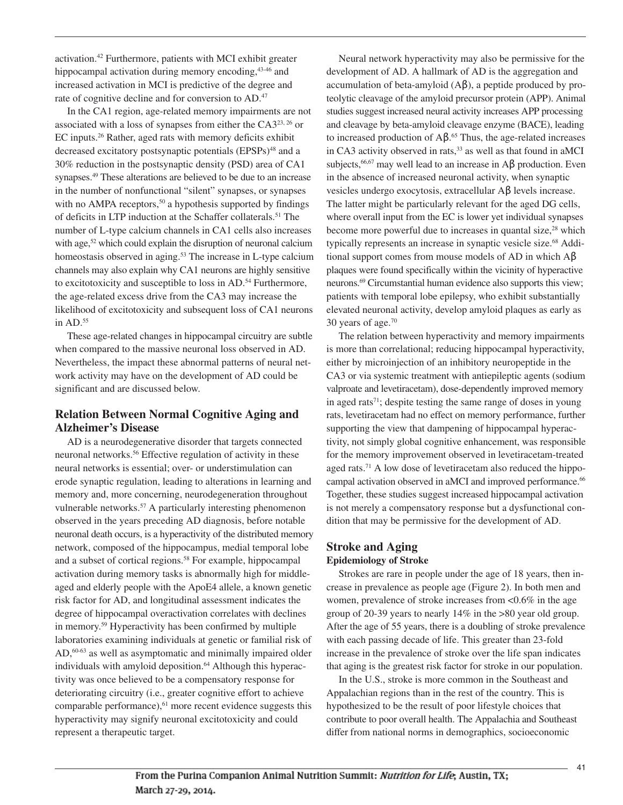activation. <sup>42</sup> Furthermore, patients with MCI exhibit greater hippocampal activation during memory encoding, 43-46 and increased activation in MCI is predictive of the degree and rate of cognitive decline and for conversion to AD.<sup>47</sup>

In the CA1 region, age-related memory impairments are not associated with a loss of synapses from either the  $CA3^{23,26}$  or EC inputs. <sup>26</sup> Rather, aged rats with memory deficits exhibit decreased excitatory postsynaptic potentials (EPSPs)<sup>48</sup> and a 30% reduction in the postsynaptic density (PSD) area of CA1 synapses. <sup>49</sup> These alterations are believed to be due to an increase in the number of nonfunctional "silent" synapses, or synapses with no AMPA receptors,<sup>50</sup> a hypothesis supported by findings of deficits in LTP induction at the Schaffer collaterals. <sup>51</sup> The number of L-type calcium channels in CA1 cells also increases with age,<sup>52</sup> which could explain the disruption of neuronal calcium homeostasis observed in aging. <sup>53</sup> The increase in L-type calcium channels may also explain why CA1 neurons are highly sensitive to excitotoxicity and susceptible to loss in AD. <sup>54</sup> Furthermore, the age-related excess drive from the CA3 may increase the likelihood of excitotoxicity and subsequent loss of CA1 neurons in AD. 55

These age-related changes in hippocampal circuitry are subtle when compared to the massive neuronal loss observed in AD. Nevertheless, the impact these abnormal patterns of neural network activity may have on the development of AD could be significant and are discussed below.

# **Relation Between Normal Cognitive Aging and Alzheimer's Disease**

AD is a neurodegenerative disorder that targets connected neuronal networks. <sup>56</sup> Effective regulation of activity in these neural networks is essential; over- or understimulation can erode synaptic regulation, leading to alterations in learning and memory and, more concerning, neurodegeneration throughout vulnerable networks. <sup>57</sup> A particularly interesting phenomenon observed in the years preceding AD diagnosis, before notable neuronal death occurs, is a hyperactivity of the distributed memory network, composed of the hippocampus, medial temporal lobe and a subset of cortical regions. <sup>58</sup> For example, hippocampal activation during memory tasks is abnormally high for middleaged and elderly people with the ApoE4 allele, a known genetic risk factor for AD, and longitudinal assessment indicates the degree of hippocampal overactivation correlates with declines in memory. <sup>59</sup> Hyperactivity has been confirmed by multiple laboratories examining individuals at genetic or familial risk of AD,<sup>60-63</sup> as well as asymptomatic and minimally impaired older individuals with amyloid deposition. <sup>64</sup> Although this hyperactivity was once believed to be a compensatory response for deteriorating circuitry (i.e., greater cognitive effort to achieve comparable performance), <sup>61</sup> more recent evidence suggests this hyperactivity may signify neuronal excitotoxicity and could represent a therapeutic target.

Neural network hyperactivity may also be permissive for the development of AD. A hallmark of AD is the aggregation and accumulation of beta-amyloid  $(A\beta)$ , a peptide produced by proteolytic cleavage of the amyloid precursor protein (APP). Animal studies suggest increased neural activity increases APP processing and cleavage by beta-amyloid cleavage enzyme (BACE), leading to increased production of  $\mathsf{A}\mathsf{B}$ .<sup>65</sup> Thus, the age-related increases in CA3 activity observed in rats, <sup>33</sup> as well as that found in aMCI subjects,<sup>66,67</sup> may well lead to an increase in Aβ production. Even in the absence of increased neuronal activity, when synaptic vesicles undergo exocytosis, extracellular Aβ levels increase. The latter might be particularly relevant for the aged DG cells, where overall input from the EC is lower yet individual synapses become more powerful due to increases in quantal size,<sup>28</sup> which typically represents an increase in synaptic vesicle size. <sup>68</sup> Additional support comes from mouse models of AD in which Aβ plaques were found specifically within the vicinity of hyperactive neurons. <sup>69</sup> Circumstantial human evidence also supports this view; patients with temporal lobe epilepsy, who exhibit substantially elevated neuronal activity, develop amyloid plaques as early as 30 years of age. 70

The relation between hyperactivity and memory impairments is more than correlational; reducing hippocampal hyperactivity, either by microinjection of an inhibitory neuropeptide in the CA3 or via systemic treatment with antiepileptic agents (sodium valproate and levetiracetam), dose-dependently improved memory in aged rats<sup>71</sup>; despite testing the same range of doses in young rats, levetiracetam had no effect on memory performance, further supporting the view that dampening of hippocampal hyperactivity, not simply global cognitive enhancement, was responsible for the memory improvement observed in levetiracetam-treated aged rats.<sup>71</sup> A low dose of levetiracetam also reduced the hippocampal activation observed in aMCI and improved performance. 66 Together, these studies suggest increased hippocampal activation is not merely a compensatory response but a dysfunctional condition that may be permissive for the development of AD.

# **Stroke and Aging Epidemiology of Stroke**

Strokes are rare in people under the age of 18 years, then increase in prevalence as people age (Figure 2). In both men and women, prevalence of stroke increases from <0.6% in the age group of 20-39 years to nearly 14% in the >80 year old group. After the age of 55 years, there is a doubling of stroke prevalence with each passing decade of life. This greater than 23-fold increase in the prevalence of stroke over the life span indicates that aging is the greatest risk factor for stroke in our population.

In the U.S., stroke is more common in the Southeast and Appalachian regions than in the rest of the country. This is hypothesized to be the result of poor lifestyle choices that contribute to poor overall health. The Appalachia and Southeast differ from national norms in demographics, socioeconomic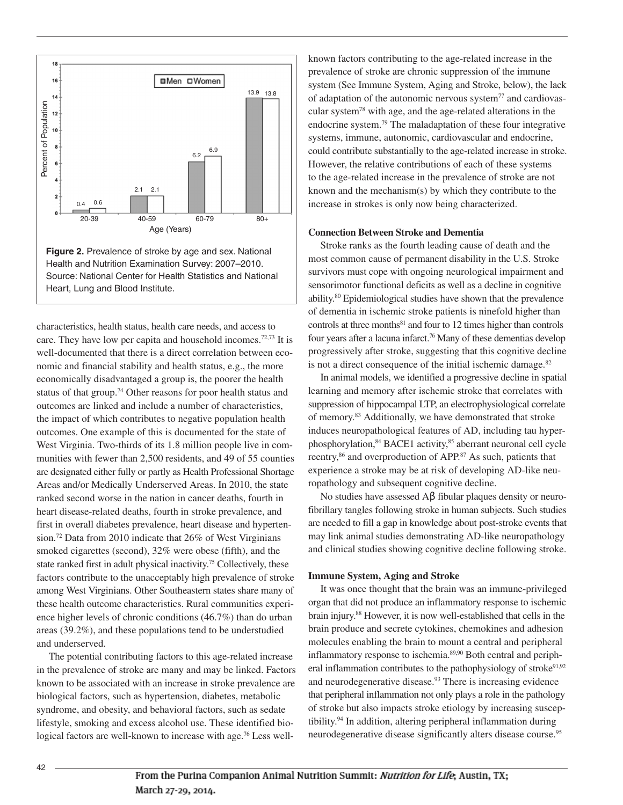

Health and Nutrition Examination Survey: 2007–2010. Source: National Center for Health Statistics and National Heart, Lung and Blood Institute.

characteristics, health status, health care needs, and access to care. They have low per capita and household incomes. 72,73 It is well-documented that there is a direct correlation between economic and financial stability and health status, e.g., the more economically disadvantaged a group is, the poorer the health status of that group. <sup>74</sup> Other reasons for poor health status and outcomes are linked and include a number of characteristics, the impact of which contributes to negative population health outcomes. One example of this is documented for the state of West Virginia. Two-thirds of its 1.8 million people live in communities with fewer than 2,500 residents, and 49 of 55 counties are designated either fully or partly as Health Professional Shortage Areas and/or Medically Underserved Areas. In 2010, the state ranked second worse in the nation in cancer deaths, fourth in heart disease-related deaths, fourth in stroke prevalence, and first in overall diabetes prevalence, heart disease and hypertension. <sup>72</sup> Data from 2010 indicate that 26% of West Virginians smoked cigarettes (second), 32% were obese (fifth), and the state ranked first in adult physical inactivity. <sup>75</sup> Collectively, these factors contribute to the unacceptably high prevalence of stroke among West Virginians. Other Southeastern states share many of these health outcome characteristics. Rural communities experience higher levels of chronic conditions (46.7%) than do urban areas (39.2%), and these populations tend to be understudied and underserved.

The potential contributing factors to this age-related increase in the prevalence of stroke are many and may be linked. Factors known to be associated with an increase in stroke prevalence are biological factors, such as hypertension, diabetes, metabolic syndrome, and obesity, and behavioral factors, such as sedate lifestyle, smoking and excess alcohol use. These identified biological factors are well-known to increase with age. <sup>76</sup> Less well-

known factors contributing to the age-related increase in the prevalence of stroke are chronic suppression of the immune system (See Immune System, Aging and Stroke, below), the lack of adaptation of the autonomic nervous system $^{77}$  and cardiovascular system78 with age, and the age-related alterations in the endocrine system. <sup>79</sup> The maladaptation of these four integrative systems, immune, autonomic, cardiovascular and endocrine, could contribute substantially to the age-related increase in stroke. However, the relative contributions of each of these systems to the age-related increase in the prevalence of stroke are not known and the mechanism(s) by which they contribute to the increase in strokes is only now being characterized.

#### **Connection Between Stroke and Dementia**

Stroke ranks as the fourth leading cause of death and the most common cause of permanent disability in the U.S. Stroke survivors must cope with ongoing neurological impairment and sensorimotor functional deficits as well as a decline in cognitive ability. <sup>80</sup> Epidemiological studies have shown that the prevalence of dementia in ischemic stroke patients is ninefold higher than controls at three months<sup>81</sup> and four to 12 times higher than controls four years after a lacuna infarct. <sup>76</sup> Many of these dementias develop progressively after stroke, suggesting that this cognitive decline is not a direct consequence of the initial ischemic damage.<sup>82</sup>

In animal models, we identified a progressive decline in spatial learning and memory after ischemic stroke that correlates with suppression of hippocampal LTP, an electrophysiological correlate of memory. <sup>83</sup> Additionally, we have demonstrated that stroke induces neuropathological features of AD, including tau hyperphosphorylation, <sup>84</sup> BACE1 activity, <sup>85</sup> aberrant neuronal cell cycle reentry,<sup>86</sup> and overproduction of APP.<sup>87</sup> As such, patients that experience a stroke may be at risk of developing AD-like neuropathology and subsequent cognitive decline.

No studies have assessed Aβ fibular plaques density or neurofibrillary tangles following stroke in human subjects. Such studies are needed to fill a gap in knowledge about post-stroke events that may link animal studies demonstrating AD-like neuropathology and clinical studies showing cognitive decline following stroke.

#### **Immune System, Aging and Stroke**

It was once thought that the brain was an immune-privileged organ that did not produce an inflammatory response to ischemic brain injury. <sup>88</sup> However, it is now well-established that cells in the brain produce and secrete cytokines, chemokines and adhesion molecules enabling the brain to mount a central and peripheral inflammatory response to ischemia.<sup>89,90</sup> Both central and peripheral inflammation contributes to the pathophysiology of stroke<sup>91,92</sup> and neurodegenerative disease. <sup>93</sup> There is increasing evidence that peripheral inflammation not only plays a role in the pathology of stroke but also impacts stroke etiology by increasing susceptibility. <sup>94</sup> In addition, altering peripheral inflammation during neurodegenerative disease significantly alters disease course. 95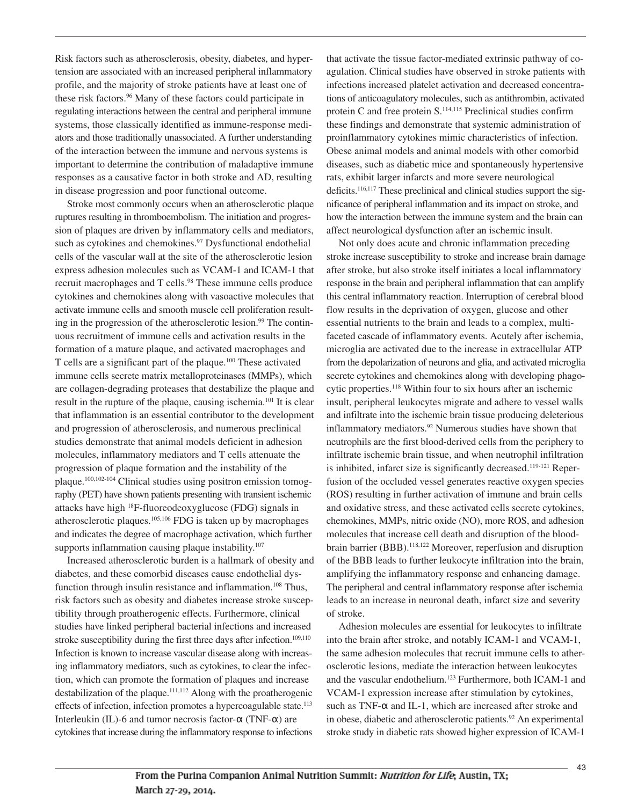Risk factors such as atherosclerosis, obesity, diabetes, and hypertension are associated with an increased peripheral inflammatory profile, and the majority of stroke patients have at least one of these risk factors. <sup>96</sup> Many of these factors could participate in regulating interactions between the central and peripheral immune systems, those classically identified as immune-response mediators and those traditionally unassociated. A further understanding of the interaction between the immune and nervous systems is important to determine the contribution of maladaptive immune responses as a causative factor in both stroke and AD, resulting in disease progression and poor functional outcome.

Stroke most commonly occurs when an atherosclerotic plaque ruptures resulting in thromboembolism. The initiation and progression of plaques are driven by inflammatory cells and mediators, such as cytokines and chemokines. <sup>97</sup> Dysfunctional endothelial cells of the vascular wall at the site of the atherosclerotic lesion express adhesion molecules such as VCAM-1 and ICAM-1 that recruit macrophages and T cells. <sup>98</sup> These immune cells produce cytokines and chemokines along with vasoactive molecules that activate immune cells and smooth muscle cell proliferation resulting in the progression of the atherosclerotic lesion. <sup>99</sup> The continuous recruitment of immune cells and activation results in the formation of a mature plaque, and activated macrophages and T cells are a significant part of the plaque.<sup>100</sup> These activated immune cells secrete matrix metalloproteinases (MMPs), which are collagen-degrading proteases that destabilize the plaque and result in the rupture of the plaque, causing ischemia.<sup>101</sup> It is clear that inflammation is an essential contributor to the development and progression of atherosclerosis, and numerous preclinical studies demonstrate that animal models deficient in adhesion molecules, inflammatory mediators and T cells attenuate the progression of plaque formation and the instability of the plaque. 100,102-104 Clinical studies using positron emission tomography (PET) have shown patients presenting with transient ischemic attacks have high <sup>18</sup> F-fluoreodeoxyglucose (FDG) signals in atherosclerotic plaques. 105,106 FDG is taken up by macrophages and indicates the degree of macrophage activation, which further supports inflammation causing plaque instability.<sup>107</sup>

Increased atherosclerotic burden is a hallmark of obesity and diabetes, and these comorbid diseases cause endothelial dysfunction through insulin resistance and inflammation.<sup>108</sup> Thus, risk factors such as obesity and diabetes increase stroke susceptibility through proatherogenic effects. Furthermore, clinical studies have linked peripheral bacterial infections and increased stroke susceptibility during the first three days after infection.<sup>109,110</sup> Infection is known to increase vascular disease along with increasing inflammatory mediators, such as cytokines, to clear the infection, which can promote the formation of plaques and increase destabilization of the plaque. 111,112 Along with the proatherogenic effects of infection, infection promotes a hypercoagulable state.<sup>113</sup> Interleukin (IL)-6 and tumor necrosis factor- $\alpha$  (TNF- $\alpha$ ) are cytokines that increase during the inflammatory response to infections

that activate the tissue factor-mediated extrinsic pathway of coagulation. Clinical studies have observed in stroke patients with infections increased platelet activation and decreased concentrations of anticoagulatory molecules, such as antithrombin, activated protein C and free protein S.<sup>114,115</sup> Preclinical studies confirm these findings and demonstrate that systemic administration of proinflammatory cytokines mimic characteristics of infection. Obese animal models and animal models with other comorbid diseases, such as diabetic mice and spontaneously hypertensive rats, exhibit larger infarcts and more severe neurological deficits.<sup>116,117</sup> These preclinical and clinical studies support the significance of peripheral inflammation and its impact on stroke, and how the interaction between the immune system and the brain can affect neurological dysfunction after an ischemic insult.

Not only does acute and chronic inflammation preceding stroke increase susceptibility to stroke and increase brain damage after stroke, but also stroke itself initiates a local inflammatory response in the brain and peripheral inflammation that can amplify this central inflammatory reaction. Interruption of cerebral blood flow results in the deprivation of oxygen, glucose and other essential nutrients to the brain and leads to a complex, multifaceted cascade of inflammatory events. Acutely after ischemia, microglia are activated due to the increase in extracellular ATP from the depolarization of neurons and glia, and activated microglia secrete cytokines and chemokines along with developing phagocytic properties. <sup>118</sup> Within four to six hours after an ischemic insult, peripheral leukocytes migrate and adhere to vessel walls and infiltrate into the ischemic brain tissue producing deleterious inflammatory mediators. <sup>92</sup> Numerous studies have shown that neutrophils are the first blood-derived cells from the periphery to infiltrate ischemic brain tissue, and when neutrophil infiltration is inhibited, infarct size is significantly decreased.<sup>119-121</sup> Reperfusion of the occluded vessel generates reactive oxygen species (ROS) resulting in further activation of immune and brain cells and oxidative stress, and these activated cells secrete cytokines, chemokines, MMPs, nitric oxide (NO), more ROS, and adhesion molecules that increase cell death and disruption of the bloodbrain barrier (BBB). 118,122 Moreover, reperfusion and disruption of the BBB leads to further leukocyte infiltration into the brain, amplifying the inflammatory response and enhancing damage. The peripheral and central inflammatory response after ischemia leads to an increase in neuronal death, infarct size and severity of stroke.

Adhesion molecules are essential for leukocytes to infiltrate into the brain after stroke, and notably ICAM-1 and VCAM-1, the same adhesion molecules that recruit immune cells to atherosclerotic lesions, mediate the interaction between leukocytes and the vascular endothelium. <sup>123</sup> Furthermore, both ICAM-1 and VCAM-1 expression increase after stimulation by cytokines, such as TNF-α and IL-1, which are increased after stroke and in obese, diabetic and atherosclerotic patients. <sup>92</sup> An experimental stroke study in diabetic rats showed higher expression of ICAM-1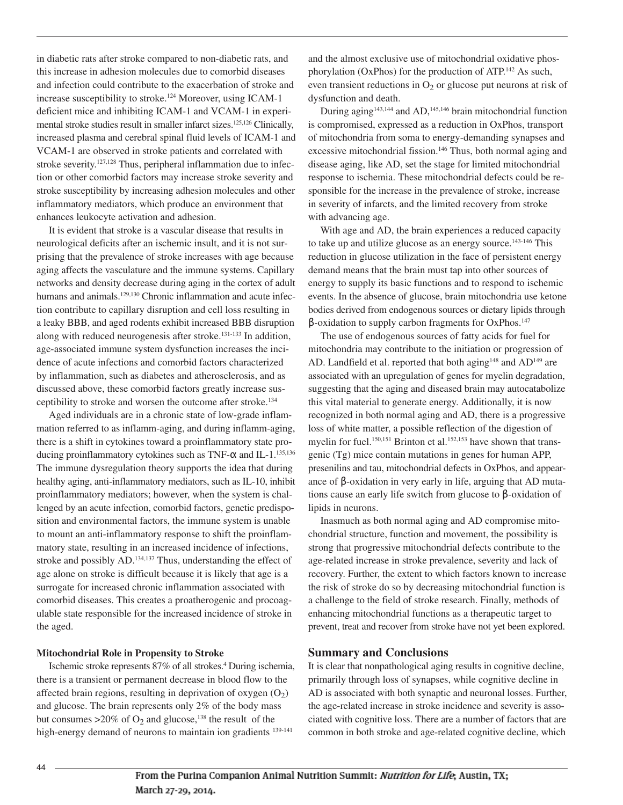in diabetic rats after stroke compared to non-diabetic rats, and this increase in adhesion molecules due to comorbid diseases and infection could contribute to the exacerbation of stroke and increase susceptibility to stroke. <sup>124</sup> Moreover, using ICAM-1 deficient mice and inhibiting ICAM-1 and VCAM-1 in experimental stroke studies result in smaller infarct sizes.<sup>125,126</sup> Clinically, increased plasma and cerebral spinal fluid levels of ICAM-1 and VCAM-1 are observed in stroke patients and correlated with stroke severity.<sup>127,128</sup> Thus, peripheral inflammation due to infection or other comorbid factors may increase stroke severity and stroke susceptibility by increasing adhesion molecules and other inflammatory mediators, which produce an environment that enhances leukocyte activation and adhesion.

It is evident that stroke is a vascular disease that results in neurological deficits after an ischemic insult, and it is not surprising that the prevalence of stroke increases with age because aging affects the vasculature and the immune systems. Capillary networks and density decrease during aging in the cortex of adult humans and animals.<sup>129,130</sup> Chronic inflammation and acute infection contribute to capillary disruption and cell loss resulting in a leaky BBB, and aged rodents exhibit increased BBB disruption along with reduced neurogenesis after stroke. 131-133 In addition, age-associated immune system dysfunction increases the incidence of acute infections and comorbid factors characterized by inflammation, such as diabetes and atherosclerosis, and as discussed above, these comorbid factors greatly increase susceptibility to stroke and worsen the outcome after stroke. 134

Aged individuals are in a chronic state of low-grade inflammation referred to as inflamm-aging, and during inflamm-aging, there is a shift in cytokines toward a proinflammatory state producing proinflammatory cytokines such as TNF-α and IL-1. 135,136 The immune dysregulation theory supports the idea that during healthy aging, anti-inflammatory mediators, such as IL-10, inhibit proinflammatory mediators; however, when the system is challenged by an acute infection, comorbid factors, genetic predisposition and environmental factors, the immune system is unable to mount an anti-inflammatory response to shift the proinflammatory state, resulting in an increased incidence of infections, stroke and possibly AD.<sup>134,137</sup> Thus, understanding the effect of age alone on stroke is difficult because it is likely that age is a surrogate for increased chronic inflammation associated with comorbid diseases. This creates a proatherogenic and procoagulable state responsible for the increased incidence of stroke in the aged.

#### **Mitochondrial Role in Propensity to Stroke**

Ischemic stroke represents 87% of all strokes. <sup>4</sup> During ischemia, there is a transient or permanent decrease in blood flow to the affected brain regions, resulting in deprivation of oxygen  $(O_2)$ and glucose. The brain represents only 2% of the body mass but consumes  $>20\%$  of O<sub>2</sub> and glucose,<sup>138</sup> the result of the high-energy demand of neurons to maintain ion gradients <sup>139-141</sup>

and the almost exclusive use of mitochondrial oxidative phosphorylation (OxPhos) for the production of ATP.<sup>142</sup> As such, even transient reductions in  $O<sub>2</sub>$  or glucose put neurons at risk of dysfunction and death.

During aging<sup>143,144</sup> and AD,<sup>145,146</sup> brain mitochondrial function is compromised, expressed as a reduction in OxPhos, transport of mitochondria from soma to energy-demanding synapses and excessive mitochondrial fission. <sup>146</sup> Thus, both normal aging and disease aging, like AD, set the stage for limited mitochondrial response to ischemia. These mitochondrial defects could be responsible for the increase in the prevalence of stroke, increase in severity of infarcts, and the limited recovery from stroke with advancing age.

With age and AD, the brain experiences a reduced capacity to take up and utilize glucose as an energy source. 143-146 This reduction in glucose utilization in the face of persistent energy demand means that the brain must tap into other sources of energy to supply its basic functions and to respond to ischemic events. In the absence of glucose, brain mitochondria use ketone bodies derived from endogenous sources or dietary lipids through β-oxidation to supply carbon fragments for OxPhos. 147

The use of endogenous sources of fatty acids for fuel for mitochondria may contribute to the initiation or progression of AD. Landfield et al. reported that both aging<sup>148</sup> and  $AD^{149}$  are associated with an upregulation of genes for myelin degradation, suggesting that the aging and diseased brain may autocatabolize this vital material to generate energy. Additionally, it is now recognized in both normal aging and AD, there is a progressive loss of white matter, a possible reflection of the digestion of myelin for fuel.<sup>150,151</sup> Brinton et al.<sup>152,153</sup> have shown that transgenic (Tg) mice contain mutations in genes for human APP, presenilins and tau, mitochondrial defects in OxPhos, and appearance of β-oxidation in very early in life, arguing that AD mutations cause an early life switch from glucose to β-oxidation of lipids in neurons.

Inasmuch as both normal aging and AD compromise mitochondrial structure, function and movement, the possibility is strong that progressive mitochondrial defects contribute to the age-related increase in stroke prevalence, severity and lack of recovery. Further, the extent to which factors known to increase the risk of stroke do so by decreasing mitochondrial function is a challenge to the field of stroke research. Finally, methods of enhancing mitochondrial functions as a therapeutic target to prevent, treat and recover from stroke have not yet been explored.

### **Summary and Conclusions**

It is clear that nonpathological aging results in cognitive decline, primarily through loss of synapses, while cognitive decline in AD is associated with both synaptic and neuronal losses. Further, the age-related increase in stroke incidence and severity is associated with cognitive loss. There are a number of factors that are common in both stroke and age-related cognitive decline, which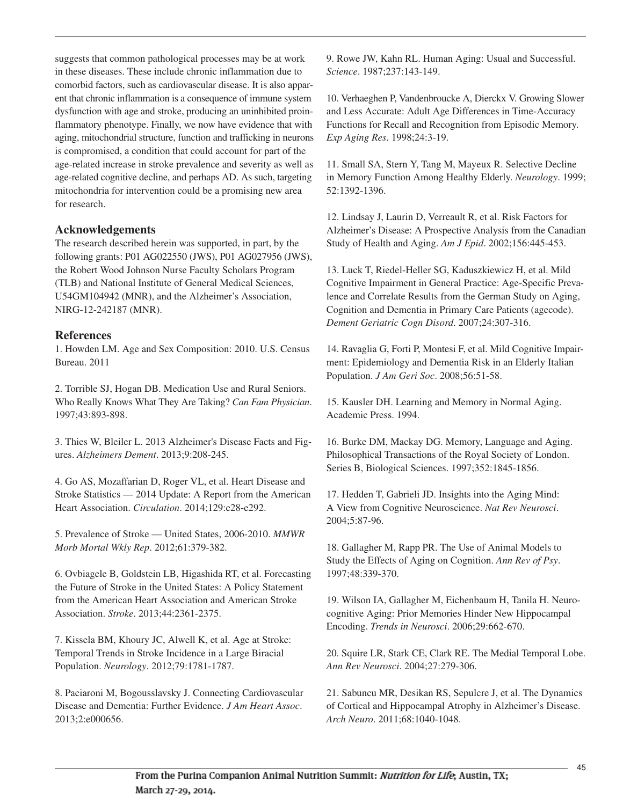suggests that common pathological processes may be at work in these diseases. These include chronic inflammation due to comorbid factors, such as cardiovascular disease. It is also apparent that chronic inflammation is a consequence of immune system dysfunction with age and stroke, producing an uninhibited proinflammatory phenotype. Finally, we now have evidence that with aging, mitochondrial structure, function and trafficking in neurons is compromised, a condition that could account for part of the age-related increase in stroke prevalence and severity as well as age-related cognitive decline, and perhaps AD. As such, targeting mitochondria for intervention could be a promising new area for research.

# **Acknowledgements**

The research described herein was supported, in part, by the following grants: P01 AG022550 (JWS), P01 AG027956 (JWS), the Robert Wood Johnson Nurse Faculty Scholars Program (TLB) and National Institute of General Medical Sciences, U54GM104942 (MNR), and the Alzheimer's Association, NIRG-12-242187 (MNR).

## **References**

1. Howden LM. Age and Sex Composition: 2010. U.S. Census Bureau. 2011

2. Torrible SJ, Hogan DB. Medication Use and Rural Seniors. Who Really Knows What They Are Taking? *Can Fam Physician*. 1997;43:893-898.

3. Thies W, Bleiler L. 2013 Alzheimer's Disease Facts and Figures. *Alzheimers Dement*. 2013;9:208-245.

4. Go AS, Mozaffarian D, Roger VL, et al. Heart Disease and Stroke Statistics — 2014 Update: A Report from the American Heart Association. *Circulation*. 2014;129:e28-e292.

5. Prevalence of Stroke — United States, 2006-2010. *MMWR Morb Mortal Wkly Rep*. 2012;61:379-382.

6. Ovbiagele B, Goldstein LB, Higashida RT, et al. Forecasting the Future of Stroke in the United States: A Policy Statement from the American Heart Association and American Stroke Association. *Stroke*. 2013;44:2361-2375.

7. Kissela BM, Khoury JC, Alwell K, et al. Age at Stroke: Temporal Trends in Stroke Incidence in a Large Biracial Population. *Neurology*. 2012;79:1781-1787.

8. Paciaroni M, Bogousslavsky J. Connecting Cardiovascular Disease and Dementia: Further Evidence. *J Am Heart Assoc*. 2013;2:e000656.

9. Rowe JW, Kahn RL. Human Aging: Usual and Successful. *Science*. 1987;237:143-149.

10. Verhaeghen P, Vandenbroucke A, Dierckx V. Growing Slower and Less Accurate: Adult Age Differences in Time-Accuracy Functions for Recall and Recognition from Episodic Memory. *Exp Aging Res*. 1998;24:3-19.

11. Small SA, Stern Y, Tang M, Mayeux R. Selective Decline in Memory Function Among Healthy Elderly. *Neurology*. 1999; 52:1392-1396.

12. Lindsay J, Laurin D, Verreault R, et al. Risk Factors for Alzheimer's Disease: A Prospective Analysis from the Canadian Study of Health and Aging. *Am J Epid*. 2002;156:445-453.

13. Luck T, Riedel-Heller SG, Kaduszkiewicz H, et al. Mild Cognitive Impairment in General Practice: Age-Specific Prevalence and Correlate Results from the German Study on Aging, Cognition and Dementia in Primary Care Patients (agecode). *Dement Geriatric Cogn Disord*. 2007;24:307-316.

14. Ravaglia G, Forti P, Montesi F, et al. Mild Cognitive Impairment: Epidemiology and Dementia Risk in an Elderly Italian Population. *J Am Geri Soc*. 2008;56:51-58.

15. Kausler DH. Learning and Memory in Normal Aging. Academic Press. 1994.

16. Burke DM, Mackay DG. Memory, Language and Aging. Philosophical Transactions of the Royal Society of London. Series B, Biological Sciences. 1997;352:1845-1856.

17. Hedden T, Gabrieli JD. Insights into the Aging Mind: A View from Cognitive Neuroscience. *Nat Rev Neurosci*. 2004;5:87-96.

18. Gallagher M, Rapp PR. The Use of Animal Models to Study the Effects of Aging on Cognition. *Ann Rev of Psy*. 1997;48:339-370.

19. Wilson IA, Gallagher M, Eichenbaum H, Tanila H. Neurocognitive Aging: Prior Memories Hinder New Hippocampal Encoding. *Trends in Neurosci*. 2006;29:662-670.

20. Squire LR, Stark CE, Clark RE. The Medial Temporal Lobe. *Ann Rev Neurosci*. 2004;27:279-306.

21. Sabuncu MR, Desikan RS, Sepulcre J, et al. The Dynamics of Cortical and Hippocampal Atrophy in Alzheimer's Disease. *Arch Neuro*. 2011;68:1040-1048.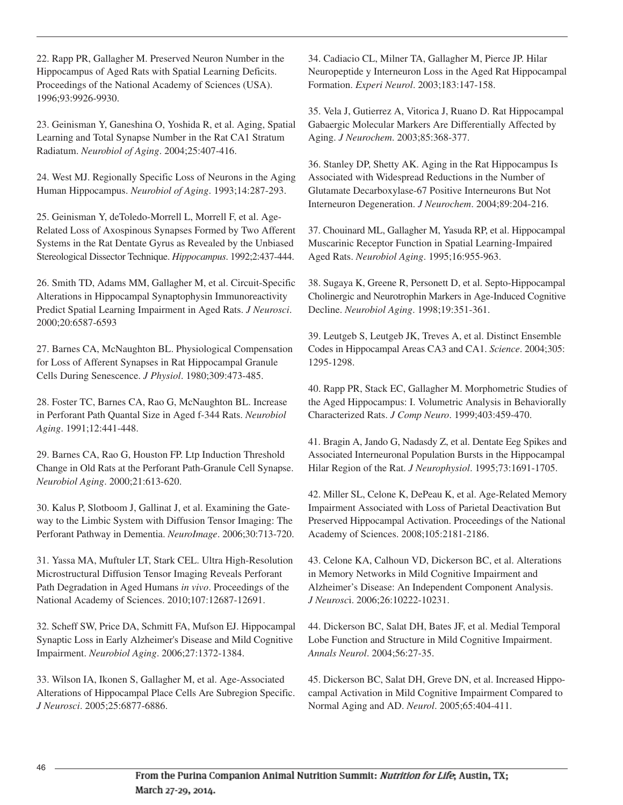22. Rapp PR, Gallagher M. Preserved Neuron Number in the Hippocampus of Aged Rats with Spatial Learning Deficits. Proceedings of the National Academy of Sciences (USA). 1996;93:9926-9930.

23. Geinisman Y, Ganeshina O, Yoshida R, et al. Aging, Spatial Learning and Total Synapse Number in the Rat CA1 Stratum Radiatum. *Neurobiol of Aging*. 2004;25:407-416.

24. West MJ. Regionally Specific Loss of Neurons in the Aging Human Hippocampus. *Neurobiol of Aging*. 1993;14:287-293.

25. Geinisman Y, deToledo-Morrell L, Morrell F, et al. Age-Related Loss of Axospinous Synapses Formed by Two Afferent Systems in the Rat Dentate Gyrus as Revealed by the Unbiased Stereological Dissector Technique. *Hippocampus*. 1992;2:437-444.

26. Smith TD, Adams MM, Gallagher M, et al. Circuit-Specific Alterations in Hippocampal Synaptophysin Immunoreactivity Predict Spatial Learning Impairment in Aged Rats. *J Neurosci*. 2000;20:6587-6593

27. Barnes CA, McNaughton BL. Physiological Compensation for Loss of Afferent Synapses in Rat Hippocampal Granule Cells During Senescence. *J Physiol*. 1980;309:473-485.

28. Foster TC, Barnes CA, Rao G, McNaughton BL. Increase in Perforant Path Quantal Size in Aged f-344 Rats. *Neurobiol Aging*. 1991;12:441-448.

29. Barnes CA, Rao G, Houston FP. Ltp Induction Threshold Change in Old Rats at the Perforant Path-Granule Cell Synapse. *Neurobiol Aging*. 2000;21:613-620.

30. Kalus P, Slotboom J, Gallinat J, et al. Examining the Gateway to the Limbic System with Diffusion Tensor Imaging: The Perforant Pathway in Dementia. *NeuroImage*. 2006;30:713-720.

31. Yassa MA, Muftuler LT, Stark CEL. Ultra High-Resolution Microstructural Diffusion Tensor Imaging Reveals Perforant Path Degradation in Aged Humans *in vivo*. Proceedings of the National Academy of Sciences. 2010;107:12687-12691.

32. Scheff SW, Price DA, Schmitt FA, Mufson EJ. Hippocampal Synaptic Loss in Early Alzheimer's Disease and Mild Cognitive Impairment. *Neurobiol Aging*. 2006;27:1372-1384.

33. Wilson IA, Ikonen S, Gallagher M, et al. Age-Associated Alterations of Hippocampal Place Cells Are Subregion Specific. *J Neurosci*. 2005;25:6877-6886.

34. Cadiacio CL, Milner TA, Gallagher M, Pierce JP. Hilar Neuropeptide y Interneuron Loss in the Aged Rat Hippocampal Formation. *Experi Neurol*. 2003;183:147-158.

35. Vela J, Gutierrez A, Vitorica J, Ruano D. Rat Hippocampal Gabaergic Molecular Markers Are Differentially Affected by Aging. *J Neurochem*. 2003;85:368-377.

36. Stanley DP, Shetty AK. Aging in the Rat Hippocampus Is Associated with Widespread Reductions in the Number of Glutamate Decarboxylase-67 Positive Interneurons But Not Interneuron Degeneration. *J Neurochem*. 2004;89:204-216.

37. Chouinard ML, Gallagher M, Yasuda RP, et al. Hippocampal Muscarinic Receptor Function in Spatial Learning-Impaired Aged Rats. *Neurobiol Aging*. 1995;16:955-963.

38. Sugaya K, Greene R, Personett D, et al. Septo-Hippocampal Cholinergic and Neurotrophin Markers in Age-Induced Cognitive Decline. *Neurobiol Aging*. 1998;19:351-361.

39. Leutgeb S, Leutgeb JK, Treves A, et al. Distinct Ensemble Codes in Hippocampal Areas CA3 and CA1. *Science*. 2004;305: 1295-1298.

40. Rapp PR, Stack EC, Gallagher M. Morphometric Studies of the Aged Hippocampus: I. Volumetric Analysis in Behaviorally Characterized Rats. *J Comp Neuro*. 1999;403:459-470.

41. Bragin A, Jando G, Nadasdy Z, et al. Dentate Eeg Spikes and Associated Interneuronal Population Bursts in the Hippocampal Hilar Region of the Rat. *J Neurophysiol*. 1995;73:1691-1705.

42. Miller SL, Celone K, DePeau K, et al. Age-Related Memory Impairment Associated with Loss of Parietal Deactivation But Preserved Hippocampal Activation. Proceedings of the National Academy of Sciences. 2008;105:2181-2186.

43. Celone KA, Calhoun VD, Dickerson BC, et al. Alterations in Memory Networks in Mild Cognitive Impairment and Alzheimer's Disease: An Independent Component Analysis. *J Neurosc*i. 2006;26:10222-10231.

44. Dickerson BC, Salat DH, Bates JF, et al. Medial Temporal Lobe Function and Structure in Mild Cognitive Impairment. *Annals Neurol*. 2004;56:27-35.

45. Dickerson BC, Salat DH, Greve DN, et al. Increased Hippocampal Activation in Mild Cognitive Impairment Compared to Normal Aging and AD. *Neurol*. 2005;65:404-411.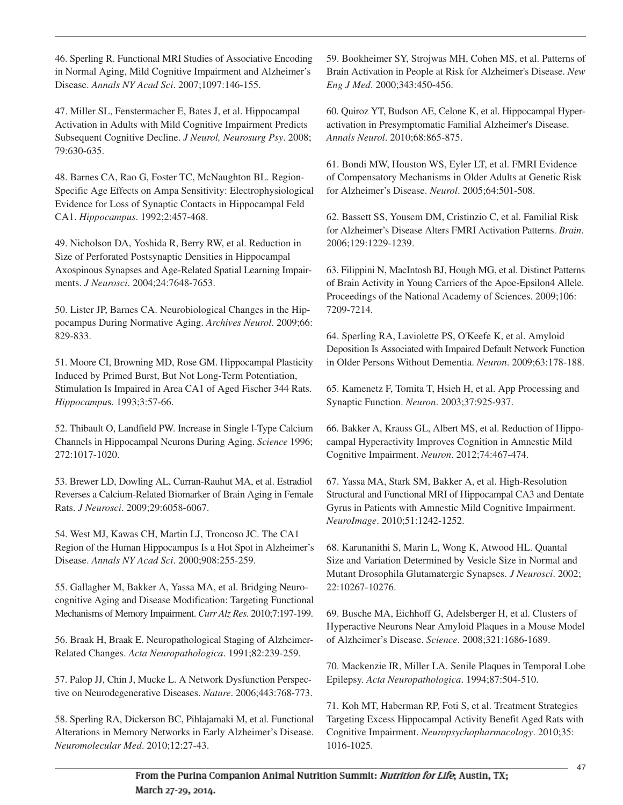46. Sperling R. Functional MRI Studies of Associative Encoding in Normal Aging, Mild Cognitive Impairment and Alzheimer's Disease. *Annals NY Acad Sci*. 2007;1097:146-155.

47. Miller SL, Fenstermacher E, Bates J, et al. Hippocampal Activation in Adults with Mild Cognitive Impairment Predicts Subsequent Cognitive Decline. *J Neurol, Neurosurg Psy*. 2008; 79:630-635.

48. Barnes CA, Rao G, Foster TC, McNaughton BL. Region-Specific Age Effects on Ampa Sensitivity: Electrophysiological Evidence for Loss of Synaptic Contacts in Hippocampal Feld CA1. *Hippocampus*. 1992;2:457-468.

49. Nicholson DA, Yoshida R, Berry RW, et al. Reduction in Size of Perforated Postsynaptic Densities in Hippocampal Axospinous Synapses and Age-Related Spatial Learning Impairments. *J Neurosci*. 2004;24:7648-7653.

50. Lister JP, Barnes CA. Neurobiological Changes in the Hippocampus During Normative Aging. *Archives Neurol*. 2009;66: 829-833.

51. Moore CI, Browning MD, Rose GM. Hippocampal Plasticity Induced by Primed Burst, But Not Long-Term Potentiation, Stimulation Is Impaired in Area CA1 of Aged Fischer 344 Rats. *Hippocampu*s. 1993;3:57-66.

52. Thibault O, Landfield PW. Increase in Single l-Type Calcium Channels in Hippocampal Neurons During Aging. *Science* 1996; 272:1017-1020.

53. Brewer LD, Dowling AL, Curran-Rauhut MA, et al. Estradiol Reverses a Calcium-Related Biomarker of Brain Aging in Female Rats. *J Neurosci*. 2009;29:6058-6067.

54. West MJ, Kawas CH, Martin LJ, Troncoso JC. The CA1 Region of the Human Hippocampus Is a Hot Spot in Alzheimer's Disease. *Annals NY Acad Sci*. 2000;908:255-259.

55. Gallagher M, Bakker A, Yassa MA, et al. Bridging Neurocognitive Aging and Disease Modification: Targeting Functional Mechanisms of Memory Impairment. *Curr Alz Res*. 2010;7:197-199.

56. Braak H, Braak E. Neuropathological Staging of Alzheimer-Related Changes. *Acta Neuropathologica*. 1991;82:239-259.

57. Palop JJ, Chin J, Mucke L. A Network Dysfunction Perspective on Neurodegenerative Diseases. *Nature*. 2006;443:768-773.

58. Sperling RA, Dickerson BC, Pihlajamaki M, et al. Functional Alterations in Memory Networks in Early Alzheimer's Disease. *Neuromolecular Med*. 2010;12:27-43.

59. Bookheimer SY, Strojwas MH, Cohen MS, et al. Patterns of Brain Activation in People at Risk for Alzheimer's Disease. *New Eng J Med*. 2000;343:450-456.

60. Quiroz YT, Budson AE, Celone K, et al. Hippocampal Hyperactivation in Presymptomatic Familial Alzheimer's Disease. *Annals Neurol*. 2010;68:865-875.

61. Bondi MW, Houston WS, Eyler LT, et al. FMRI Evidence of Compensatory Mechanisms in Older Adults at Genetic Risk for Alzheimer's Disease. *Neurol*. 2005;64:501-508.

62. Bassett SS, Yousem DM, Cristinzio C, et al. Familial Risk for Alzheimer's Disease Alters FMRI Activation Patterns. *Brain*. 2006;129:1229-1239.

63. Filippini N, MacIntosh BJ, Hough MG, et al. Distinct Patterns of Brain Activity in Young Carriers of the Apoe-Epsilon4 Allele. Proceedings of the National Academy of Sciences. 2009;106: 7209-7214.

64. Sperling RA, Laviolette PS, O'Keefe K, et al. Amyloid Deposition Is Associated with Impaired Default Network Function in Older Persons Without Dementia. *Neuron*. 2009;63:178-188.

65. Kamenetz F, Tomita T, Hsieh H, et al. App Processing and Synaptic Function. *Neuron*. 2003;37:925-937.

66. Bakker A, Krauss GL, Albert MS, et al. Reduction of Hippocampal Hyperactivity Improves Cognition in Amnestic Mild Cognitive Impairment. *Neuron*. 2012;74:467-474.

67. Yassa MA, Stark SM, Bakker A, et al. High-Resolution Structural and Functional MRI of Hippocampal CA3 and Dentate Gyrus in Patients with Amnestic Mild Cognitive Impairment. *NeuroImage*. 2010;51:1242-1252.

68. Karunanithi S, Marin L, Wong K, Atwood HL. Quantal Size and Variation Determined by Vesicle Size in Normal and Mutant Drosophila Glutamatergic Synapses. *J Neurosci*. 2002; 22:10267-10276.

69. Busche MA, Eichhoff G, Adelsberger H, et al. Clusters of Hyperactive Neurons Near Amyloid Plaques in a Mouse Model of Alzheimer's Disease. *Science*. 2008;321:1686-1689.

70. Mackenzie IR, Miller LA. Senile Plaques in Temporal Lobe Epilepsy. *Acta Neuropathologica*. 1994;87:504-510.

71. Koh MT, Haberman RP, Foti S, et al. Treatment Strategies Targeting Excess Hippocampal Activity Benefit Aged Rats with Cognitive Impairment. *Neuropsychopharmacology*. 2010;35: 1016-1025.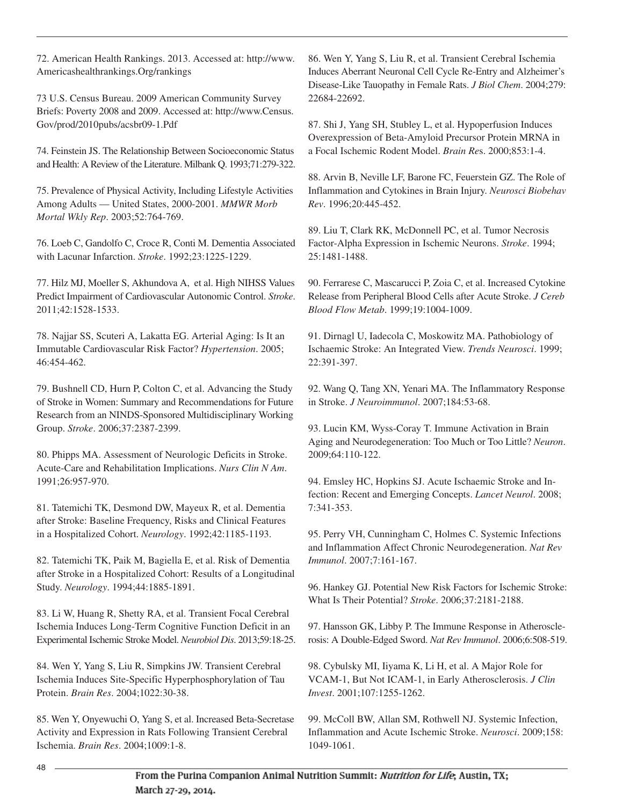72. American Health Rankings. 2013. Accessed at: http://www. Americashealthrankings.Org/rankings

73 U.S. Census Bureau. 2009 American Community Survey Briefs: Poverty 2008 and 2009. Accessed at: http://www.Census. Gov/prod/2010pubs/acsbr09-1.Pdf

74. Feinstein JS. The Relationship Between Socioeconomic Status and Health: A Review of the Literature. Milbank Q. 1993;71:279-322.

75. Prevalence of Physical Activity, Including Lifestyle Activities Among Adults — United States, 2000-2001. *MMWR Morb Mortal Wkly Rep*. 2003;52:764-769.

76. Loeb C, Gandolfo C, Croce R, Conti M. Dementia Associated with Lacunar Infarction. *Stroke*. 1992;23:1225-1229.

77. Hilz MJ, Moeller S, Akhundova A, et al. High NIHSS Values Predict Impairment of Cardiovascular Autonomic Control. *Stroke*. 2011;42:1528-1533.

78. Najjar SS, Scuteri A, Lakatta EG. Arterial Aging: Is It an Immutable Cardiovascular Risk Factor? *Hypertension*. 2005; 46:454-462.

79. Bushnell CD, Hurn P, Colton C, et al. Advancing the Study of Stroke in Women: Summary and Recommendations for Future Research from an NINDS-Sponsored Multidisciplinary Working Group. *Stroke*. 2006;37:2387-2399.

80. Phipps MA. Assessment of Neurologic Deficits in Stroke. Acute-Care and Rehabilitation Implications. *Nurs Clin N Am*. 1991;26:957-970.

81. Tatemichi TK, Desmond DW, Mayeux R, et al. Dementia after Stroke: Baseline Frequency, Risks and Clinical Features in a Hospitalized Cohort. *Neurology*. 1992;42:1185-1193.

82. Tatemichi TK, Paik M, Bagiella E, et al. Risk of Dementia after Stroke in a Hospitalized Cohort: Results of a Longitudinal Study. *Neurology*. 1994;44:1885-1891.

83. Li W, Huang R, Shetty RA, et al. Transient Focal Cerebral Ischemia Induces Long-Term Cognitive Function Deficit in an Experimental Ischemic Stroke Model. *Neurobiol Dis*. 2013;59:18-25.

84. Wen Y, Yang S, Liu R, Simpkins JW. Transient Cerebral Ischemia Induces Site-Specific Hyperphosphorylation of Tau Protein. *Brain Res*. 2004;1022:30-38.

85. Wen Y, Onyewuchi O, Yang S, et al. Increased Beta-Secretase Activity and Expression in Rats Following Transient Cerebral Ischemia. *Brain Res*. 2004;1009:1-8.

86. Wen Y, Yang S, Liu R, et al. Transient Cerebral Ischemia Induces Aberrant Neuronal Cell Cycle Re-Entry and Alzheimer's Disease-Like Tauopathy in Female Rats. *J Biol Chem*. 2004;279: 22684-22692.

87. Shi J, Yang SH, Stubley L, et al. Hypoperfusion Induces Overexpression of Beta-Amyloid Precursor Protein MRNA in a Focal Ischemic Rodent Model. *Brain Re*s. 2000;853:1-4.

88. Arvin B, Neville LF, Barone FC, Feuerstein GZ. The Role of Inflammation and Cytokines in Brain Injury. *Neurosci Biobehav Rev*. 1996;20:445-452.

89. Liu T, Clark RK, McDonnell PC, et al. Tumor Necrosis Factor-Alpha Expression in Ischemic Neurons. *Stroke*. 1994; 25:1481-1488.

90. Ferrarese C, Mascarucci P, Zoia C, et al. Increased Cytokine Release from Peripheral Blood Cells after Acute Stroke. *J Cereb Blood Flow Metab*. 1999;19:1004-1009.

91. Dirnagl U, Iadecola C, Moskowitz MA. Pathobiology of Ischaemic Stroke: An Integrated View. *Trends Neurosci*. 1999; 22:391-397.

92. Wang Q, Tang XN, Yenari MA. The Inflammatory Response in Stroke. *J Neuroimmunol*. 2007;184:53-68.

93. Lucin KM, Wyss-Coray T. Immune Activation in Brain Aging and Neurodegeneration: Too Much or Too Little? *Neuron*. 2009;64:110-122.

94. Emsley HC, Hopkins SJ. Acute Ischaemic Stroke and Infection: Recent and Emerging Concepts. *Lancet Neurol*. 2008; 7:341-353.

95. Perry VH, Cunningham C, Holmes C. Systemic Infections and Inflammation Affect Chronic Neurodegeneration. *Nat Rev Immunol*. 2007;7:161-167.

96. Hankey GJ. Potential New Risk Factors for Ischemic Stroke: What Is Their Potential? *Stroke*. 2006;37:2181-2188.

97. Hansson GK, Libby P. The Immune Response in Atherosclerosis: A Double-Edged Sword. *Nat Rev Immunol*. 2006;6:508-519.

98. Cybulsky MI, Iiyama K, Li H, et al. A Major Role for VCAM-1, But Not ICAM-1, in Early Atherosclerosis. *J Clin Invest*. 2001;107:1255-1262.

99. McColl BW, Allan SM, Rothwell NJ. Systemic Infection, Inflammation and Acute Ischemic Stroke. *Neurosci*. 2009;158: 1049-1061.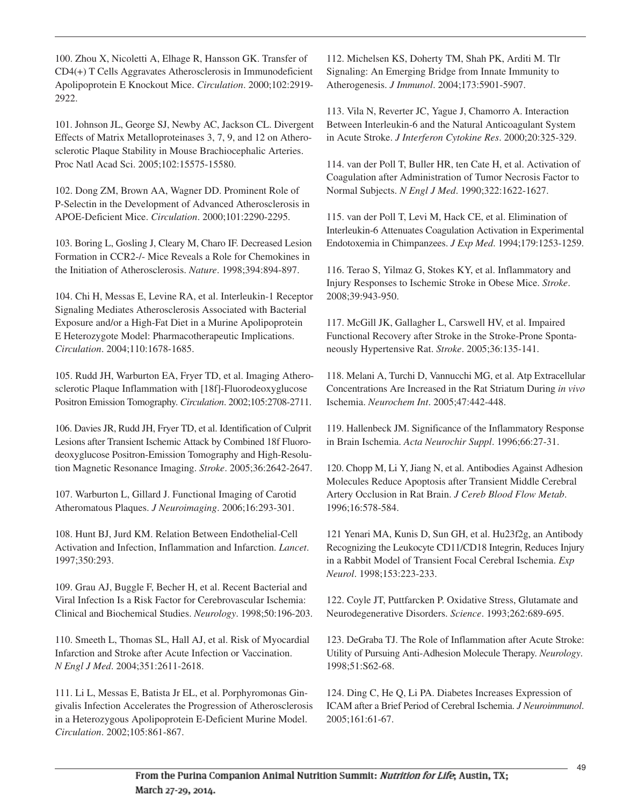100. Zhou X, Nicoletti A, Elhage R, Hansson GK. Transfer of CD4(+) T Cells Aggravates Atherosclerosis in Immunodeficient Apolipoprotein E Knockout Mice. *Circulation*. 2000;102:2919- 2922.

101. Johnson JL, George SJ, Newby AC, Jackson CL. Divergent Effects of Matrix Metalloproteinases 3, 7, 9, and 12 on Atherosclerotic Plaque Stability in Mouse Brachiocephalic Arteries. Proc Natl Acad Sci. 2005;102:15575-15580.

102. Dong ZM, Brown AA, Wagner DD. Prominent Role of P-Selectin in the Development of Advanced Atherosclerosis in APOE-Deficient Mice. *Circulation*. 2000;101:2290-2295.

103. Boring L, Gosling J, Cleary M, Charo IF. Decreased Lesion Formation in CCR2-/- Mice Reveals a Role for Chemokines in the Initiation of Atherosclerosis. *Nature*. 1998;394:894-897.

104. Chi H, Messas E, Levine RA, et al. Interleukin-1 Receptor Signaling Mediates Atherosclerosis Associated with Bacterial Exposure and/or a High-Fat Diet in a Murine Apolipoprotein E Heterozygote Model: Pharmacotherapeutic Implications. *Circulation*. 2004;110:1678-1685.

105. Rudd JH, Warburton EA, Fryer TD, et al. Imaging Atherosclerotic Plaque Inflammation with [18f]-Fluorodeoxyglucose Positron Emission Tomography. *Circulation*. 2002;105:2708-2711.

106. Davies JR, Rudd JH, Fryer TD, et al. Identification of Culprit Lesions after Transient Ischemic Attack by Combined 18f Fluorodeoxyglucose Positron-Emission Tomography and High-Resolution Magnetic Resonance Imaging. *Stroke*. 2005;36:2642-2647.

107. Warburton L, Gillard J. Functional Imaging of Carotid Atheromatous Plaques. *J Neuroimaging*. 2006;16:293-301.

108. Hunt BJ, Jurd KM. Relation Between Endothelial-Cell Activation and Infection, Inflammation and Infarction. *Lancet*. 1997;350:293.

109. Grau AJ, Buggle F, Becher H, et al. Recent Bacterial and Viral Infection Is a Risk Factor for Cerebrovascular Ischemia: Clinical and Biochemical Studies. *Neurology*. 1998;50:196-203.

110. Smeeth L, Thomas SL, Hall AJ, et al. Risk of Myocardial Infarction and Stroke after Acute Infection or Vaccination. *N Engl J Med*. 2004;351:2611-2618.

111. Li L, Messas E, Batista Jr EL, et al. Porphyromonas Gingivalis Infection Accelerates the Progression of Atherosclerosis in a Heterozygous Apolipoprotein E-Deficient Murine Model. *Circulation*. 2002;105:861-867.

112. Michelsen KS, Doherty TM, Shah PK, Arditi M. Tlr Signaling: An Emerging Bridge from Innate Immunity to Atherogenesis. *J Immunol*. 2004;173:5901-5907.

113. Vila N, Reverter JC, Yague J, Chamorro A. Interaction Between Interleukin-6 and the Natural Anticoagulant System in Acute Stroke. *J Interferon Cytokine Res*. 2000;20:325-329.

114. van der Poll T, Buller HR, ten Cate H, et al. Activation of Coagulation after Administration of Tumor Necrosis Factor to Normal Subjects. *N Engl J Med*. 1990;322:1622-1627.

115. van der Poll T, Levi M, Hack CE, et al. Elimination of Interleukin-6 Attenuates Coagulation Activation in Experimental Endotoxemia in Chimpanzees. *J Exp Med*. 1994;179:1253-1259.

116. Terao S, Yilmaz G, Stokes KY, et al. Inflammatory and Injury Responses to Ischemic Stroke in Obese Mice. *Stroke*. 2008;39:943-950.

117. McGill JK, Gallagher L, Carswell HV, et al. Impaired Functional Recovery after Stroke in the Stroke-Prone Spontaneously Hypertensive Rat. *Stroke*. 2005;36:135-141.

118. Melani A, Turchi D, Vannucchi MG, et al. Atp Extracellular Concentrations Are Increased in the Rat Striatum During *in vivo* Ischemia. *Neurochem Int*. 2005;47:442-448.

119. Hallenbeck JM. Significance of the Inflammatory Response in Brain Ischemia. *Acta Neurochir Suppl*. 1996;66:27-31.

120. Chopp M, Li Y, Jiang N, et al. Antibodies Against Adhesion Molecules Reduce Apoptosis after Transient Middle Cerebral Artery Occlusion in Rat Brain. *J Cereb Blood Flow Metab*. 1996;16:578-584.

121 Yenari MA, Kunis D, Sun GH, et al. Hu23f2g, an Antibody Recognizing the Leukocyte CD11/CD18 Integrin, Reduces Injury in a Rabbit Model of Transient Focal Cerebral Ischemia. *Exp Neurol*. 1998;153:223-233.

122. Coyle JT, Puttfarcken P. Oxidative Stress, Glutamate and Neurodegenerative Disorders. *Science*. 1993;262:689-695.

123. DeGraba TJ. The Role of Inflammation after Acute Stroke: Utility of Pursuing Anti-Adhesion Molecule Therapy. *Neurology*. 1998;51:S62-68.

124. Ding C, He Q, Li PA. Diabetes Increases Expression of ICAM after a Brief Period of Cerebral Ischemia. *J Neuroimmunol*. 2005;161:61-67.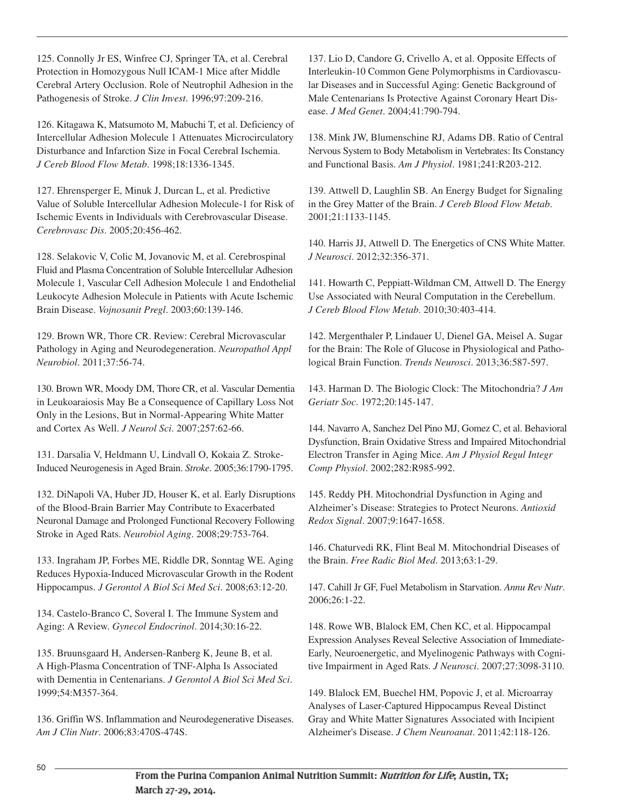125. Connolly Jr ES, Winfree CJ, Springer TA, et al. Cerebral Protection in Homozygous Null ICAM-1 Mice after Middle Cerebral Artery Occlusion. Role of Neutrophil Adhesion in the Pathogenesis of Stroke. *J Clin Invest*. 1996;97:209-216.

126. Kitagawa K, Matsumoto M, Mabuchi T, et al. Deficiency of Intercellular Adhesion Molecule 1 Attenuates Microcirculatory Disturbance and Infarction Size in Focal Cerebral Ischemia. *J Cereb Blood Flow Metab*. 1998;18:1336-1345.

127. Ehrensperger E, Minuk J, Durcan L, et al. Predictive Value of Soluble Intercellular Adhesion Molecule-1 for Risk of Ischemic Events in Individuals with Cerebrovascular Disease. *Cerebrovasc Dis*. 2005;20:456-462.

128. Selakovic V, Colic M, Jovanovic M, et al. Cerebrospinal Fluid and Plasma Concentration of Soluble Intercellular Adhesion Molecule 1, Vascular Cell Adhesion Molecule 1 and Endothelial Leukocyte Adhesion Molecule in Patients with Acute Ischemic Brain Disease. *Vojnosanit Pregl*. 2003;60:139-146.

129. Brown WR, Thore CR. Review: Cerebral Microvascular Pathology in Aging and Neurodegeneration. *Neuropathol Appl Neurobiol*. 2011;37:56-74.

130. Brown WR, Moody DM, Thore CR, et al. Vascular Dementia in Leukoaraiosis May Be a Consequence of Capillary Loss Not Only in the Lesions, But in Normal-Appearing White Matter and Cortex As Well. *J Neurol Sci*. 2007;257:62-66.

131. Darsalia V, Heldmann U, Lindvall O, Kokaia Z. Stroke-Induced Neurogenesis in Aged Brain. *Stroke*. 2005;36:1790-1795.

132. DiNapoli VA, Huber JD, Houser K, et al. Early Disruptions of the Blood-Brain Barrier May Contribute to Exacerbated Neuronal Damage and Prolonged Functional Recovery Following Stroke in Aged Rats. *Neurobiol Aging*. 2008;29:753-764.

133. Ingraham JP, Forbes ME, Riddle DR, Sonntag WE. Aging Reduces Hypoxia-Induced Microvascular Growth in the Rodent Hippocampus. *J Gerontol A Biol Sci Med Sci*. 2008;63:12-20.

134. Castelo-Branco C, Soveral I. The Immune System and Aging: A Review. *Gynecol Endocrinol*. 2014;30:16-22.

135. Bruunsgaard H, Andersen-Ranberg K, Jeune B, et al. A High-Plasma Concentration of TNF-Alpha Is Associated with Dementia in Centenarians. *J Gerontol A Biol Sci Med Sci*. 1999;54:M357-364.

136. Griffin WS. Inflammation and Neurodegenerative Diseases. *Am J Clin Nutr*. 2006;83:470S-474S.

137. Lio D, Candore G, Crivello A, et al. Opposite Effects of Interleukin-10 Common Gene Polymorphisms in Cardiovascular Diseases and in Successful Aging: Genetic Background of Male Centenarians Is Protective Against Coronary Heart Disease. *J Med Genet*. 2004;41:790-794.

138. Mink JW, Blumenschine RJ, Adams DB. Ratio of Central Nervous System to Body Metabolism in Vertebrates: Its Constancy and Functional Basis. *Am J Physiol*. 1981;241:R203-212.

139. Attwell D, Laughlin SB. An Energy Budget for Signaling in the Grey Matter of the Brain. *J Cereb Blood Flow Metab*. 2001;21:1133-1145.

140. Harris JJ, Attwell D. The Energetics of CNS White Matter. *J Neurosci*. 2012;32:356-371.

141. Howarth C, Peppiatt-Wildman CM, Attwell D. The Energy Use Associated with Neural Computation in the Cerebellum. *J Cereb Blood Flow Metab*. 2010;30:403-414.

142. Mergenthaler P, Lindauer U, Dienel GA, Meisel A. Sugar for the Brain: The Role of Glucose in Physiological and Pathological Brain Function. *Trends Neurosci*. 2013;36:587-597.

143. Harman D. The Biologic Clock: The Mitochondria? *J Am Geriatr Soc*. 1972;20:145-147.

144. Navarro A, Sanchez Del Pino MJ, Gomez C, et al. Behavioral Dysfunction, Brain Oxidative Stress and Impaired Mitochondrial Electron Transfer in Aging Mice. *Am J Physiol Regul Integr Comp Physiol*. 2002;282:R985-992.

145. Reddy PH. Mitochondrial Dysfunction in Aging and Alzheimer's Disease: Strategies to Protect Neurons. *Antioxid Redox Signal*. 2007;9:1647-1658.

146. Chaturvedi RK, Flint Beal M. Mitochondrial Diseases of the Brain. *Free Radic Biol Med*. 2013;63:1-29.

147. Cahill Jr GF, Fuel Metabolism in Starvation. *Annu Rev Nutr*. 2006;26:1-22.

148. Rowe WB, Blalock EM, Chen KC, et al. Hippocampal Expression Analyses Reveal Selective Association of Immediate-Early, Neuroenergetic, and Myelinogenic Pathways with Cognitive Impairment in Aged Rats. *J Neurosci*. 2007;27:3098-3110.

149. Blalock EM, Buechel HM, Popovic J, et al. Microarray Analyses of Laser-Captured Hippocampus Reveal Distinct Gray and White Matter Signatures Associated with Incipient Alzheimer's Disease. *J Chem Neuroanat*. 2011;42:118-126.